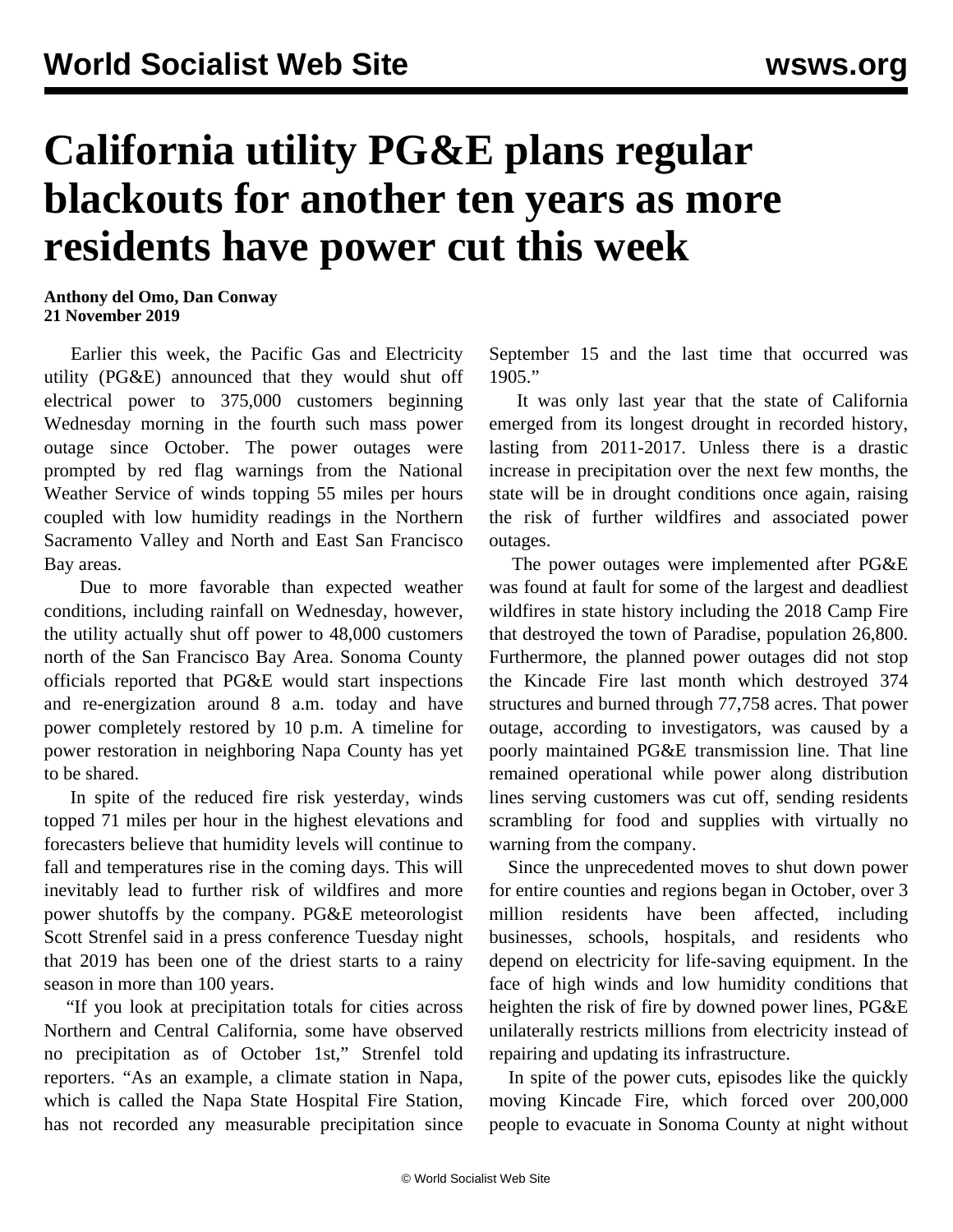## **California utility PG&E plans regular blackouts for another ten years as more residents have power cut this week**

**Anthony del Omo, Dan Conway 21 November 2019**

 Earlier this week, the Pacific Gas and Electricity utility (PG&E) announced that they would shut off electrical power to 375,000 customers beginning Wednesday morning in the fourth such mass power outage since October. The power outages were prompted by red flag warnings from the National Weather Service of winds topping 55 miles per hours coupled with low humidity readings in the Northern Sacramento Valley and North and East San Francisco Bay areas.

 Due to more favorable than expected weather conditions, including rainfall on Wednesday, however, the utility actually shut off power to 48,000 customers north of the San Francisco Bay Area. Sonoma County officials reported that PG&E would start inspections and re-energization around 8 a.m. today and have power completely restored by 10 p.m. A timeline for power restoration in neighboring Napa County has yet to be shared.

 In spite of the reduced fire risk yesterday, winds topped 71 miles per hour in the highest elevations and forecasters believe that humidity levels will continue to fall and temperatures rise in the coming days. This will inevitably lead to further risk of wildfires and more power shutoffs by the company. PG&E meteorologist Scott Strenfel said in a press conference Tuesday night that 2019 has been one of the driest starts to a rainy season in more than 100 years.

 "If you look at precipitation totals for cities across Northern and Central California, some have observed no precipitation as of October 1st," Strenfel told reporters. "As an example, a climate station in Napa, which is called the Napa State Hospital Fire Station, has not recorded any measurable precipitation since September 15 and the last time that occurred was 1905."

 It was only last year that the state of California emerged from its longest drought in recorded history, lasting from 2011-2017. Unless there is a drastic increase in precipitation over the next few months, the state will be in drought conditions once again, raising the risk of further wildfires and associated power outages.

 The power outages were implemented after PG&E was found at fault for some of the largest and deadliest wildfires in state history including the 2018 Camp Fire that destroyed the town of Paradise, population 26,800. Furthermore, the planned power outages did not stop the Kincade Fire last month which destroyed 374 structures and burned through 77,758 acres. That power outage, according to investigators, was caused by a poorly maintained PG&E transmission line. That line remained operational while power along distribution lines serving customers was cut off, sending residents scrambling for food and supplies with virtually no warning from the company.

 Since the unprecedented moves to shut down power for entire counties and regions began in October, over 3 million residents have been affected, including businesses, schools, hospitals, and residents who depend on electricity for life-saving equipment. In the face of high winds and low humidity conditions that heighten the risk of fire by downed power lines, PG&E unilaterally restricts millions from electricity instead of repairing and updating its infrastructure.

 In spite of the power cuts, episodes like the quickly moving Kincade Fire, which forced over 200,000 people to evacuate in Sonoma County at night without